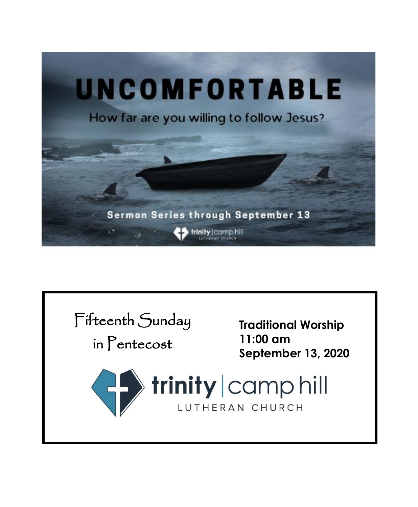

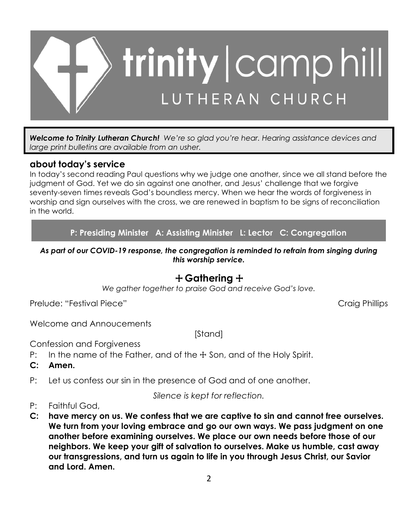

*Welcome to Trinity Lutheran Church! We're so glad you're hear. Hearing assistance devices and large print bulletins are available from an usher.*

#### **about today's service**

In today's second reading Paul questions why we judge one another, since we all stand before the judgment of God. Yet we do sin against one another, and Jesus' challenge that we forgive seventy-seven times reveals God's boundless mercy. When we hear the words of forgiveness in worship and sign ourselves with the cross, we are renewed in baptism to be signs of reconciliation in the world.

**P: Presiding Minister A: Assisting Minister L: Lector C: Congregation**

*As part of our COVID-19 response, the congregation is reminded to refrain from singing during this worship service.*

# + **Gathering** +

*We gather together to praise God and receive God's love.*

Prelude: "Festival Piece" Prelude: "Festival Piece" Prelude: "Craig Phillips" Craig Phillips

Welcome and Annoucements

[Stand]

Confession and Forgiveness

- P: In the name of the Father, and of the  $\pm$  Son, and of the Holy Spirit.
- **C: Amen.**
- P: Let us confess our sin in the presence of God and of one another.

*Silence is kept for reflection.*

- P: Faithful God,
- **C: have mercy on us. We confess that we are captive to sin and cannot free ourselves. We turn from your loving embrace and go our own ways. We pass judgment on one another before examining ourselves. We place our own needs before those of our neighbors. We keep your gift of salvation to ourselves. Make us humble, cast away our transgressions, and turn us again to life in you through Jesus Christ, our Savior and Lord. Amen.**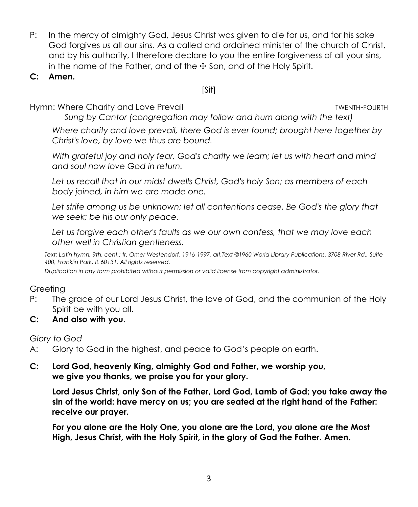- P: In the mercy of almighty God, Jesus Christ was given to die for us, and for his sake God forgives us all our sins. As a called and ordained minister of the church of Christ, and by his authority, I therefore declare to you the entire forgiveness of all your sins, in the name of the Father, and of the  $+$  Son, and of the Holy Spirit.
- **C: Amen.**

#### [Sit]

Hymn: Where Charity and Love Prevail The Contract Charity Constant Twenth-Fourth

*Sung by Cantor (congregation may follow and hum along with the text) Where charity and love prevail, there God is ever found; brought here together by Christ's love, by love we thus are bound.*

*With grateful joy and holy fear, God's charity we learn; let us with heart and mind and soul now love God in return.*

*Let us recall that in our midst dwells Christ, God's holy Son; as members of each body joined, in him we are made one.*

Let strife among us be unknown; let all contentions cease. Be God's the glory that *we seek; be his our only peace.*

*Let us forgive each other's faults as we our own confess, that we may love each other well in Christian gentleness.*

*Text: Latin hymn, 9th. cent.; tr. Omer Westendorf, 1916-1997, alt.Text ©1960 World Library Publications. 3708 River Rd., Suite 400, Franklin Park, IL 60131. All rights reserved.*

*Duplication in any form prohibited without permission or valid license from copyright administrator.*

#### **Greeting**

- P: The grace of our Lord Jesus Christ, the love of God, and the communion of the Holy Spirit be with you all.
- **C: And also with you**.

*Glory to God*

- A: Glory to God in the highest, and peace to God's people on earth.
- **C: Lord God, heavenly King, almighty God and Father, we worship you, we give you thanks, we praise you for your glory.**

**Lord Jesus Christ, only Son of the Father, Lord God, Lamb of God; you take away the sin of the world: have mercy on us; you are seated at the right hand of the Father: receive our prayer.**

**For you alone are the Holy One, you alone are the Lord, you alone are the Most High, Jesus Christ, with the Holy Spirit, in the glory of God the Father. Amen.**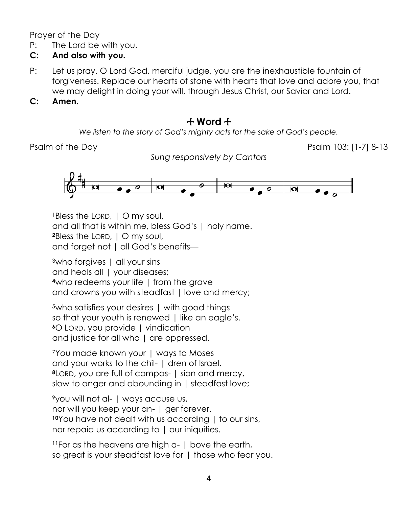Prayer of the Day

- P: The Lord be with you.
- **C: And also with you.**
- P: Let us pray. O Lord God, merciful judge, you are the inexhaustible fountain of forgiveness. Replace our hearts of stone with hearts that love and adore you, that we may delight in doing your will, through Jesus Christ, our Savior and Lord.
- **C: Amen.**

# + **Word** +

*We listen to the story of God's mighty acts for the sake of God's people.*

Psalm of the Day Psalm 103: [1-7] 8-13





<sup>1</sup>Bless the LORD, | O my soul, and all that is within me, bless God's | holy name. **<sup>2</sup>**Bless the LORD, **|** O my soul, and forget not **|** all God's benefits—

<sup>3</sup>who forgives | all your sins and heals all | your diseases; **<sup>4</sup>**who redeems your life **|** from the grave and crowns you with steadfast **|** love and mercy;

<sup>5</sup>who satisfies your desires | with good things so that your youth is renewed | like an eagle's. **<sup>6</sup>**O LORD, you provide **|** vindication and justice for all who **|** are oppressed.

<sup>7</sup>You made known your | ways to Moses and your works to the chil- | dren of Israel. **<sup>8</sup>**LORD, you are full of compas- **|** sion and mercy, slow to anger and abounding in **|** steadfast love;

<sup>9</sup>you will not al- | ways accuse us, nor will you keep your an- | ger forever. **<sup>10</sup>**You have not dealt with us according **|** to our sins, nor repaid us according to **|** our iniquities.

<sup>11</sup>For as the heavens are high a- | bove the earth, so great is your steadfast love for | those who fear you.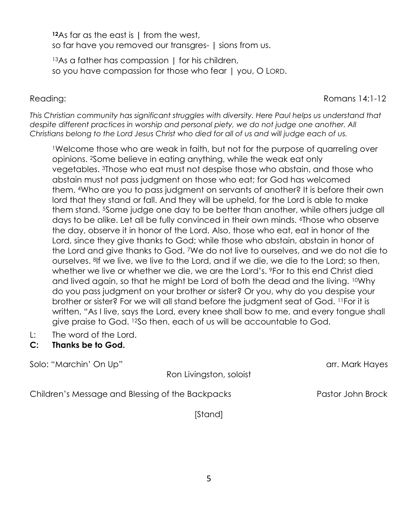**<sup>12</sup>**As far as the east is **|** from the west, so far have you removed our transgres- **|** sions from us.

<sup>13</sup>As a father has compassion 1 for his children, so you have compassion for those who fear I you, O LORD.

Reading: Romans 14:1-12

*This Christian community has significant struggles with diversity. Here Paul helps us understand that despite different practices in worship and personal piety, we do not judge one another. All Christians belong to the Lord Jesus Christ who died for all of us and will judge each of us.*

<sup>1</sup>Welcome those who are weak in faith, but not for the purpose of quarreling over opinions. <sup>2</sup>Some believe in eating anything, while the weak eat only vegetables. <sup>3</sup>Those who eat must not despise those who abstain, and those who abstain must not pass judgment on those who eat; for God has welcomed them. <sup>4</sup>Who are you to pass judgment on servants of another? It is before their own lord that they stand or fall. And they will be upheld, for the Lord is able to make them stand. <sup>5</sup>Some judge one day to be better than another, while others judge all days to be alike. Let all be fully convinced in their own minds. <sup>6</sup>Those who observe the day, observe it in honor of the Lord. Also, those who eat, eat in honor of the Lord, since they give thanks to God; while those who abstain, abstain in honor of the Lord and give thanks to God. <sup>7</sup>We do not live to ourselves, and we do not die to ourselves. <sup>8</sup>If we live, we live to the Lord, and if we die, we die to the Lord; so then, whether we live or whether we die, we are the Lord's. <sup>9</sup>For to this end Christ died and lived again, so that he might be Lord of both the dead and the living. <sup>10</sup>Why do you pass judgment on your brother or sister? Or you, why do you despise your brother or sister? For we will all stand before the judgment seat of God. <sup>11</sup>For it is written, "As I live, says the Lord, every knee shall bow to me, and every tongue shall give praise to God. 12So then, each of us will be accountable to God.

 $\mathsf{L}$ : The word of the Lord.

#### **C: Thanks be to God.**

Solo: "Marchin' On Up" and the state of the state of the state of the state of the state of the state of the state of the state of the state of the state of the state of the state of the state of the state of the state of Ron Livingston, soloist

Children's Message and Blessing of the Backpacks **Pastor John Brock** Pastor John Brock

[Stand]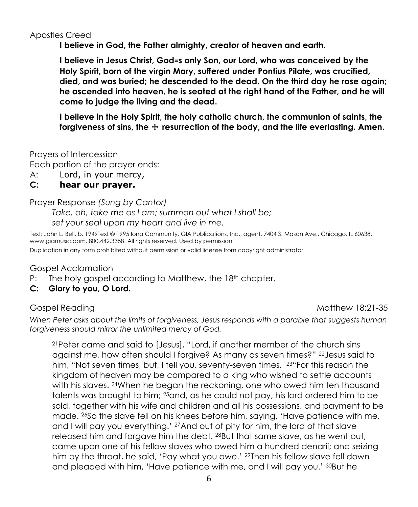#### Apostles Creed

**I believe in God, the Father almighty, creator of heaven and earth.**

**I believe in Jesus Christ, God=s only Son, our Lord, who was conceived by the Holy Spirit, born of the virgin Mary, suffered under Pontius Pilate, was crucified, died, and was buried; he descended to the dead. On the third day he rose again; he ascended into heaven, he is seated at the right hand of the Father, and he will come to judge the living and the dead.**

**I believe in the Holy Spirit, the holy catholic church, the communion of saints, the**  forgiveness of sins, the  $+$  resurrection of the body, and the life everlasting. Amen.

Prayers of Intercession Each portion of the prayer ends: A: Lord, in your mercy,

# **C: hear our prayer.**

#### Prayer Response *(Sung by Cantor)*

*Take, oh, take me as I am; summon out what I shall be; set your seal upon my heart and live in me.*

Text: John L. Bell, b. 1949Text © 1995 Iona Community, GIA Publications, Inc., agent. 7404 S. Mason Ave., Chicago, IL 60638. www.giamusic.com. 800.442.3358. All rights reserved. Used by permission.

Duplication in any form prohibited without permission or valid license from copyright administrator.

#### Gospel Acclamation

- P: The holy gospel according to Matthew, the 18<sup>th</sup> chapter.
- **C: Glory to you, O Lord.**

#### Gospel Reading Matthew 18:21-35

*When Peter asks about the limits of forgiveness, Jesus responds with a parable that suggests human forgiveness should mirror the unlimited mercy of God.*

<sup>21</sup>Peter came and said to [Jesus], "Lord, if another member of the church sins against me, how often should I forgive? As many as seven times?" <sup>22</sup>Jesus said to him, "Not seven times, but, I tell you, seventy-seven times. 23"For this reason the kingdom of heaven may be compared to a king who wished to settle accounts with his slaves. <sup>24</sup>When he began the reckoning, one who owed him ten thousand talents was brought to him; <sup>25</sup>and, as he could not pay, his lord ordered him to be sold, together with his wife and children and all his possessions, and payment to be made. <sup>26</sup>So the slave fell on his knees before him, saying, 'Have patience with me, and I will pay you everything.' <sup>27</sup>And out of pity for him, the lord of that slave released him and forgave him the debt. <sup>28</sup>But that same slave, as he went out, came upon one of his fellow slaves who owed him a hundred denarii; and seizing him by the throat, he said, 'Pay what you owe.' <sup>29</sup>Then his fellow slave fell down and pleaded with him, 'Have patience with me, and I will pay you.' <sup>30</sup>But he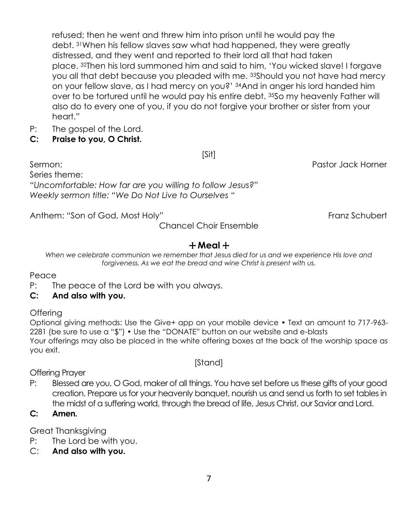refused; then he went and threw him into prison until he would pay the debt. <sup>31</sup>When his fellow slaves saw what had happened, they were greatly distressed, and they went and reported to their lord all that had taken place. <sup>32</sup>Then his lord summoned him and said to him, 'You wicked slave! I forgave you all that debt because you pleaded with me. 33Should you not have had mercy on your fellow slave, as I had mercy on you?' <sup>34</sup>And in anger his lord handed him over to be tortured until he would pay his entire debt. <sup>35</sup>So my heavenly Father will also do to every one of you, if you do not forgive your brother or sister from your heart."

- P: The gospel of the Lord.
- **C: Praise to you, O Christ.**

[Sit]

Sermon: Pastor Jack Horner

Series theme:

*"Uncomfortable: How far are you willing to follow Jesus?" Weekly sermon title: "We Do Not Live to Ourselves "*

Anthem: "Son of God, Most Holy" Franz Schubert Englished Schubert

Chancel Choir Ensemble

## + **Meal** +

*When we celebrate communion we remember that Jesus died for us and we experience His love and forgiveness. As we eat the bread and wine Christ is present with us.*

Peace

P: The peace of the Lord be with you always.

## **C: And also with you.**

**Offering** 

Optional giving methods: Use the Give+ app on your mobile device • Text an amount to 717-963- 2281 (be sure to use a "\$") • Use the "DONATE" button on our website and e-blasts Your offerings may also be placed in the white offering boxes at the back of the worship space as you exit.

[Stand]

Offering Prayer

P: Blessed are you, O God, maker of all things. You have set before us these gifts of your good creation. Prepare us for your heavenly banquet, nourish us and send us forth to set tables in the midst of a suffering world, through the bread of life, Jesus Christ, our Savior and Lord.

## **C: Amen.**

Great Thanksgiving

- P: The Lord be with you.
- C: **And also with you.**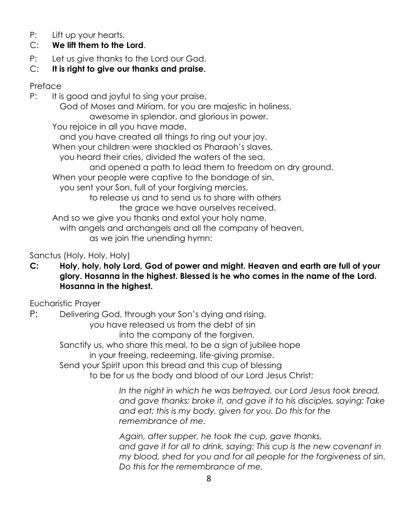- P: Lift up your hearts.
- C: **We lift them to the Lord**.
- P: Let us give thanks to the Lord our God.

### C: **It is right to give our thanks and praise.**

### Preface

P: It is good and joyful to sing your praise, God of Moses and Miriam, for you are majestic in holiness, awesome in splendor, and glorious in power. You rejoice in all you have made. and you have created all things to ring out your joy. When your children were shackled as Pharaoh's slaves, you heard their cries, divided the waters of the sea, and opened a path to lead them to freedom on dry ground. When your people were captive to the bondage of sin, you sent your Son, full of your forgiving mercies, to release us and to send us to share with others the grace we have ourselves received. And so we give you thanks and extol your holy name, with angels and archangels and all the company of heaven, as we join the unending hymn:

Sanctus (Holy, Holy, Holy)

**C: Holy, holy, holy Lord, God of power and might. Heaven and earth are full of your glory. Hosanna in the highest. Blessed is he who comes in the name of the Lord. Hosanna in the highest.**

Eucharistic Prayer

P: Delivering God, through your Son's dying and rising,

you have released us from the debt of sin

into the company of the forgiven.

Sanctify us, who share this meal, to be a sign of jubilee hope

in your freeing, redeeming, life-giving promise.

Send your Spirit upon this bread and this cup of blessing

to be for us the body and blood of our Lord Jesus Christ;

*In the night in which he was betrayed, our Lord Jesus took bread, and gave thanks; broke it, and gave it to his disciples, saying: Take and eat; this is my body, given for you. Do this for the remembrance of me.*

*Again, after supper, he took the cup, gave thanks, and gave it for all to drink, saying: This cup is the new covenant in my blood, shed for you and for all people for the forgiveness of sin. Do this for the remembrance of me.*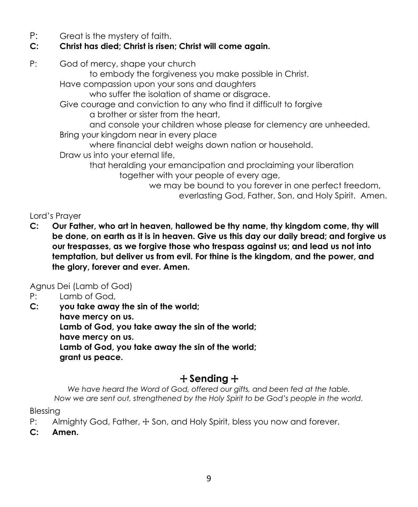P: Great is the mystery of faith.

## **C: Christ has died; Christ is risen; Christ will come again.**

P:God of mercy, shape your church

to embody the forgiveness you make possible in Christ.

Have compassion upon your sons and daughters

who suffer the isolation of shame or disgrace.

Give courage and conviction to any who find it difficult to forgive a brother or sister from the heart,

and console your children whose please for clemency are unheeded. Bring your kingdom near in every place

where financial debt weighs down nation or household.

Draw us into your eternal life,

that heralding your emancipation and proclaiming your liberation together with your people of every age,

> we may be bound to you forever in one perfect freedom, everlasting God, Father, Son, and Holy Spirit. Amen.

Lord's Prayer

**C: Our Father, who art in heaven, hallowed be thy name, thy kingdom come, thy will be done, on earth as it is in heaven. Give us this day our daily bread; and forgive us our trespasses, as we forgive those who trespass against us; and lead us not into temptation, but deliver us from evil. For thine is the kingdom, and the power, and the glory, forever and ever. Amen.**

Agnus Dei (Lamb of God)

## P: Lamb of God,

**C: you take away the sin of the world; have mercy on us. Lamb of God, you take away the sin of the world; have mercy on us. Lamb of God, you take away the sin of the world; grant us peace.**

# + **Sending** +

*We have heard the Word of God, offered our gifts, and been fed at the table. Now we are sent out, strengthened by the Holy Spirit to be God's people in the world.*

#### Blessing

- P: Almighty God, Father,  $\pm$  Son, and Holy Spirit, bless you now and forever.
- **C: Amen.**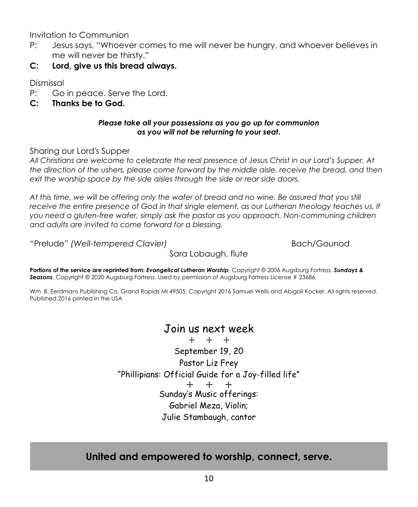Invitation to Communion

- P: Jesus says, "Whoever comes to me will never be hungry, and whoever believes in me will never be thirsty."
- **C: Lord, give us this bread always.**

Dismissal

P: Go in peace. Serve the Lord.

#### **C: Thanks be to God.**

#### *Please take all your possessions as you go up for communion as you will not be returning to your seat.*

Sharing our Lord's Supper

*All Christians are welcome to celebrate the real presence of Jesus Christ in our Lord's Supper. At the direction of the ushers, please come forward by the middle aisle, receive the bread, and then exit the worship space by the side aisles through the side or rear side doors.* 

*At this time, we will be offering only the wafer of bread and no wine. Be assured that you still receive the entire presence of God in that single element, as our Lutheran theology teaches us. If you need a gluten-free wafer, simply ask the pastor as you approach. Non-communing children and adults are invited to come forward for a blessing.*

"Prelude" *(Well-tempered Clavier)* Bach/Gounod

Sara Lobaugh, flute

**Portions of the service are reprinted from:** *Evangelical Lutheran Worship*, Copyright © 2006 Augsburg Fortress. *Sundays & Seasons*, Copyright © 2020 Augsburg Fortress. Used by permission of Augsburg Fortress License # 23686.

Wm. B. Eerdmans Publishing Co. Grand Rapids MI 49505. Copyright 2016 Samuel Wells and Abigail Kocker. All rights reserved. Published 2016 printed in the USA

## Join us next week + + + September 19, 20 Pastor Liz Frey "Phillipians: Official Guide for a Joy-filled life" + + + Sunday's Music offerings: Gabriel Meza, Violin; Julie Stambaugh, cantor

# **United and empowered to worship, connect, serve.**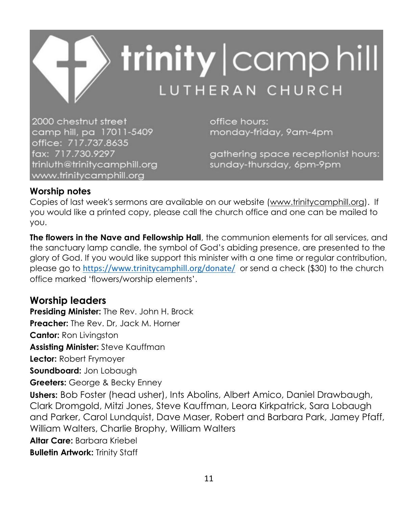

2000 chestnut street camp hill, pa 17011-5409 office: 717.737.8635 fax: 717.730.9297 trinluth@trinitycamphill.org www.trinitycamphill.ora

office hours: monday-friday, 9am-4pm

gathering space receptionist hours: sunday-thursday, 6pm-9pm

## **Worship notes**

Copies of last week's sermons are available on our website [\(www.trinitycamphill.org\)](http://www.trinitycamphill.org/). If you would like a printed copy, please call the church office and one can be mailed to you.

**The flowers in the Nave and Fellowship Hall**, the communion elements for all services, and the sanctuary lamp candle, the symbol of God's abiding presence, are presented to the glory of God. If you would like support this minister with a one time or regular contribution, please go to <https://www.trinitycamphill.org/donate/> or send a check (\$30) to the church office marked 'flowers/worship elements'.

# **Worship leaders**

**Presiding Minister:** The Rev. John H. Brock **Preacher:** The Rev. Dr. Jack M. Horner **Cantor:** Ron Livingston **Assisting Minister:** Steve Kauffman **Lector:** Robert Frymoyer **Soundboard:** Jon Lobaugh **Greeters:** George & Becky Enney

**Ushers:** Bob Foster (head usher), Ints Abolins, Albert Amico, Daniel Drawbaugh, Clark Dromgold, Mitzi Jones, Steve Kauffman, Leora Kirkpatrick, Sara Lobaugh and Parker, Carol Lundquist, Dave Maser, Robert and Barbara Park, Jamey Pfaff, William Walters, Charlie Brophy, William Walters **Altar Care:** Barbara Kriebel **Bulletin Artwork:** Trinity Staff